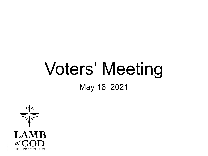# Voters' Meeting

May 16, 2021

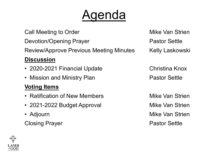## genda

Call Meeting to Order **Mike Van Strien** Call Meeting to Order Devotion/Opening Prayer **Pastor Settle** Review/Approve Previous Meeting Minutes Kelly Laskowski **Discussion**

- 2020-2021 Financial Update
- Mission and Ministry Plan

#### **Voting Items**

- Ratification of New Members
- 2021-2022 Budget Approval
- Adjourn

Closing Prayer **Pastor Settle** 

Christina Knox Pastor Settle

Mike Van Strien Mike Van Strien Mike Van Strien

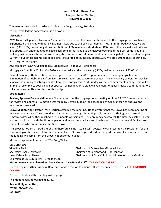#### **Lamb of God Lutheran Church Congregational Meeting November 8, 2020**

The meeting was called to order at 11:44am by Doug Janeway, President.

Pastor Settle led the congregation in a devotion.

#### **Discussion**

**2020 Financial Update –** Treasurer Christina Knox presented the financial statement to the congregation. We have experienced challenges with our giving, most likely due to the Covid pandemic. Thus far in this budget cycle, we are about \$35k (10%) below budget on contributions. ECM revenue is short about \$19k due to the delayed start. We are also about \$78k under budget on expenses; some of that is due to the delayed opening of the ECM; some is due to building maintenance items that were budgeted but have not yet been spent but are anticipated to be spent in the year. Currently our actual income and spend total is favorable to budget by about \$23k. We are current on all of our bills, including our mortgage.

ACT campaign - \$1.471M pledged; \$811k received – about 55% of pledges.

Mortgage – from Nov 2019 to Oct 2020 we have reduced the balance by \$817k, making a balance of \$2.061M.

**Capital Campaign Update -** Greg Johnson gave a report on the ACT capital campaign. The original goals were elimination of our debt, the 50<sup>th</sup> anniversary celebration, and sanctuary updates. The anniversary celebration was last Sunday; the primary sanctuary updates have been completed. Next Sunday will be recommitment Sunday. This will be a time to recommit to your pledge or update it as needed, or to pledge if you didn't originally make a commitment. We will also be committing for the monthly budget.

#### **Voting Items**

**Review/Approve Previous Minutes** - The minutes from the congregational meeting on June 28, 2020 were presented for review and approval. A motion was made by Derrell Bulls, Sr. and seconded by Greg Johnson to approve the minutes as presented.

**Grove Mission Plant-** Pastor Travis Hartjen attended the meeting. He told voters that the Grove has been meeting at Marty B's Restaurant. Their attendance has grown to average about 75 people per week. Their goal was to call a Timothy pastor when they reached 75-100 people worshipping. They are ready now to call the Timothy pastor. Pastor Hartjen would work with the Timothy pastor and move towards his next church plant. There are several families from Lamb of God who are attending the Grove now.

The Grove is not a chartered church and therefore cannot issue a call. Doug Janeway presented the resolution for the sponsorship of the divine call for the mission plant. LOG would provide admin support for payroll, insurance, etc., but the funding will come from the Grove, not out of our budget.

Motion to approve: Ron Lentz - 2<sup>nd</sup> - Doug Williams.

#### **CMC Elections –**

VP – Rick Pfeil Chairman of Outreach – Michelle Moran Secretary – Kelly Laskowski Chairman of Servanthood – Joel Jeppson Chairman of Music Ministry – Greg Johnson

Head Elder – Brian Thane Chairperson of Early Childhood Ministry – Sharon Gardner

#### **Motion to elect by acclamation: Tony Moses. Dave Hawkins 2nd . THE MOTION CARRIED.**

There being no further business, Ron Lentz made a motion to adjourn. It was seconded by Curtis Zell. **THE MOTION CARRIED.**

Pastor Settle closed the meeting with a prayer.

#### **The meeting was adjourned at 12:40.**

**Respectfully submitted,** *Patti Hawkins*

**Secretary**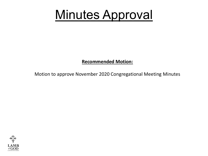### Minutes Approval

#### **Recommended Motion:**

Motion to approve November 2020 Congregational Meeting Minutes

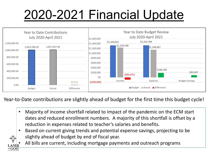## 2020-2021 Financial Update



Year-to-Date contributions are slightly ahead of budget for the first time this budget cycle!

- Majority of income shortfall related to impact of the pandemic on the ECM start dates and reduced enrollment numbers. A majority of this shortfall is offset by a reduction in expenses related to teacher's salaries and benefits.
- Based on current giving trends and potential expense savings, projecting to be slightly ahead of budget by end of fiscal year.



All bills are current, including mortgage payments and outreach programs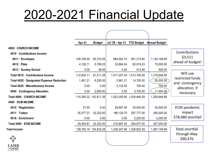## 2020-2021 Financial Update

|                                           | Apr 21     | <b>Budget</b>         | Jul '20 - Apr 21 YTD Budget Annual Budget |                           |              |                                   |
|-------------------------------------------|------------|-----------------------|-------------------------------------------|---------------------------|--------------|-----------------------------------|
| 4000 CHURCH INCOME                        |            |                       |                                           |                           |              |                                   |
| 4010 Contributions Income                 |            |                       |                                           |                           |              | Contributions                     |
| 4011 · Envelopes                          | 108,706.00 | 85,703.59             | 984,593.10                                | 951,313.60                | 1,144,146.69 | \$3,511                           |
| 4012 · Plate                              | 4,128.11   | 5,769.23              | 32,664.34                                 | 62,019.23                 | 75,000.00    | ahead of budget!                  |
| 4013 · Sunday School                      | 0.00       | 38.46                 | 0.00                                      | 413.46                    | 500.00       |                                   |
| Total 4010 · Contributions Income         | 112,834.11 | 91,511.28             |                                           | 1,017,257.44 1,013,746.29 | 1,219,646.69 | Will use                          |
| Total 4020 · Designated Expense Reduction | 1,461.21   | 8,250.00              | 2,961.21                                  | 14,700.00                 | 28,200.00    | restricted funds                  |
| Total 4030 · Miscellaneous Income         | 0.00       | 0.00                  | 3,132.00                                  | 700.00                    | 700.00       | and contingency<br>allocation, if |
| 4040 · Contingency Allocation             | 0.00       | 2,850.00              | 0.00                                      | 5,700.00                  | 11,400.00    | necessary                         |
| Total 4000 · CHURCH INCOME                |            | 114,295.32 102,611.28 |                                           | 1,023,350.65 1,034,846.29 | 1,259,946.69 |                                   |
| 4500 · ECM INCOME                         |            |                       |                                           |                           |              |                                   |
| 4510 · Registration                       | 27.50      | 0.00                  | 29,867.50                                 | 35,000.00                 | 35,000.00    | <b>ECM</b> pandemic               |
| 4511 · Tuition                            | 25,377.37  | 32,222.00             | 186,129.75                                | 257,777.00                | 290,000.00   | impact                            |
| 4516 · Enrichment                         | 0.00       | 0.00                  | 0.00                                      | 2,200.00                  | 2,200.00     | \$78,980 shortfall                |
| Total 4500 · ECM INCOME                   | 25,404.87  | 32,222.00             | 215,997.25                                | 294,977.00                | 327,200.00   |                                   |
| <b>Total Income</b>                       |            | 139,700.19 134,833.28 | 1,239,347.90                              | 1,329,823.29              | 1,587,146.69 | <b>Total shortfall</b>            |
|                                           |            |                       |                                           |                           |              | through May<br>\$90,476           |
| <b>LAMB</b>                               |            |                       |                                           |                           |              |                                   |

of  $GOD$ LUTHERAN CHURCH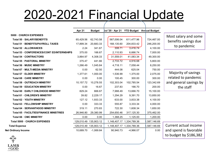### 2020-2021 Financial Update

|                                            | <b>Apr 21</b> | <b>Budget</b>         | Jul '20 - Apr 21 |                           | <b>YTD Budget</b> Annual Budget |                        |
|--------------------------------------------|---------------|-----------------------|------------------|---------------------------|---------------------------------|------------------------|
| 5000 · CHURCH EXPENSES                     |               |                       |                  |                           |                                 | Most salary and some   |
| Total 50 · SALARY/BENEFITS                 | 65,429.56     | 62,743.58             | 567,006.04       | 611,477.96                | 724,467.00                      | benefits savings due   |
| Total 51 · BENEFITS/PAYROLL TAXES          | 17,899.34     | 20,683.33             | 168,135.60       | 204,833.42                | 246,200.00                      |                        |
| Total 52 · ALLOWANCES                      | 2.24          | 341.67                | 308.71           | 3,416.74                  | 4,100.00                        | to pandemic            |
| Total 53 · CONFERENCES/CONT ED/INTERNSHIPS | 375.00        | 166.67                | 2,110.93         | 6,666.74                  | 7,000.00                        |                        |
| Total 54 · CONTRACTORS                     | 3,864.97      | 4,308.33              | 31,559.01        | 41,083.34                 | 49,300.00                       |                        |
| Total 55 · PASTORAL MINISTRY               | 375.47        | 441.66                | 2,733.72         | 4,916.68                  | 5,800.00                        |                        |
| Total 56 · MUSIC MINISTRY                  | 1,266.49      | 1,045.84              | 4,718.11         | 7,058.44                  | 8,250.00                        |                        |
| Total 67 · MULTI-MEDIA MINISTRY            | 0.00          | 62.50                 | 444.08           | 625.04                    | 750.00                          |                        |
| Total 57 · ELDER MINISTRY                  | 1,377.61      | 1,000.00              | 1,536.99         | 1,375.00                  | 2,075.00                        | Majority of savings    |
| Total 68 · CARE MINISTRY                   | 0.00          | 0.00                  | 100.45           | 300.00                    | 300.00                          | related to pandemic    |
| Total 58 · OUTREACH MINISTRY               | 10,157.72     | 10,278.55             | 102,303.04       | 102,785.54                | 123,342.69                      | and general savings by |
| Total 59 · EDUCATION MINISTRY              | 0.00          | 16.67                 | 237.83           | 166.70                    | 200.00                          | the staff              |
| Total 60 · EARLY CHILDHOOD MINISTRY        | 829.24        | 666.67                | 7,988.49         | 13,666.70                 | 15,100.00                       |                        |
| Total 61 · CHILDREN'S MINISTRY             | 39.82         | 2,229.17              | 1,294.29         | 9,391.70                  | 13,850.00                       |                        |
| Total 62 · YOUTH MINISTRY                  | 127.12        | 1,933.33              | 633.00           | 3,833.38                  | 4,100.00                        |                        |
| Total 63 · FELLOWSHIP MINISTRY             | 0.00          | 333.33                | 555.87           | 3,333.34                  | 4,000.00                        |                        |
| Total 64 · SERVANTHOOD MINISTRY            | 319.11        | 270.83                | 722.30           | 1,608.34                  | 1,650.00                        |                        |
| Total 65 · FACILITIES/FINANCE MINISTRIES   | 26,946.80     | 29,380.99             | 254,650.46       | 317,125.30                | 375,462.00                      |                        |
| Total 66 · CMC MINISTRY                    | 0.00          | 0.00                  | 1,368.25         | 1,125.00                  | 1,200.00                        |                        |
| Total 5000 · CHURCH EXPENSES               |               | 129,010.49 135,903.12 | 1,148,407.17     | 1,334,789.36              | ,587,146.69                     |                        |
| <b>Total Expense</b>                       |               | 129,010.49 135,903.12 |                  | 1,148,407.17 1,334,789.36 | ,587,146.69                     | Current actual income  |
| <b>Net Ordinary Income</b>                 | 10,689.70     | $-1,069.84$           | 90,940.73        | $-4,966.07$               | 0.00                            | and spend is favorable |
| $\sqrt{2}$                                 |               |                       |                  |                           |                                 | to budget by \$186,382 |

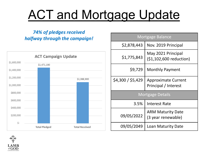## ACT and Mortgage Update

#### *74% of pledges received halfway through the campaign!*



| <b>Mortgage Balance</b> |                                                    |  |  |  |  |
|-------------------------|----------------------------------------------------|--|--|--|--|
| \$2,878,443             | Nov. 2019 Principal                                |  |  |  |  |
| \$1,775,843             | May 2021 Principal<br>(\$1,102,600 reduction)      |  |  |  |  |
| \$9,729                 | <b>Monthly Payment</b>                             |  |  |  |  |
| \$4,300 / \$5,429       | <b>Approximate Current</b><br>Principal / Interest |  |  |  |  |
| <b>Mortgage Details</b> |                                                    |  |  |  |  |
| 3.5%                    | <b>Interest Rate</b>                               |  |  |  |  |
| 09/05/2022              | <b>ARM Maturity Date</b><br>(3 year renewable)     |  |  |  |  |

09/05/2049 Loan Maturity Date

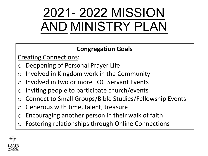## 2021- 2022 MISSION AND MINISTRY PLAN

### **Congregation Goals**

Creating Connections:

- Deepening of Personal Prayer Life
- Involved in Kingdom work in the Community
- Involved in two or more LOG Servant Events
- $\circ$  Inviting people to participate church/events
- Connect to Small Groups/Bible Studies/Fellowship Events
- Generous with time, talent, treasure
- Encouraging another person in their walk of faith
- Fostering relationships through Online Connections

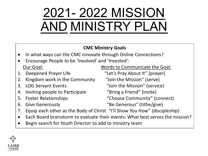## 2021- 2022 MISSION AND MINISTRY PLAN

#### **CMC Ministry Goals**

- In what ways can the CMC innovate through Online Connections?
- Encourage People to be 'Involved' and 'Invested': Our Goal: Words to Communicate the Goal:
- 
- 2. Kingdom work in the Community "Join the Mission" (serve)
- 
- 4. Inviting people to Participate "Bring a Friend" (invite)
- 
- 

1. Deepened Prayer Life "Let's Pray About It" (prayer)

3. LOG Servant Events "Join the Mission" (service)

5. Foster Relationships "Choose Community" (connect)

- 6. Give Generously "Be Generous" (tithe/give)
- 7. Equip each other as the Body of Christ "I'll Show You How" (discipleship)
- Each Board brainstorm to evaluate their events: What best serves the mission?
- Begin search for Youth Director to add to ministry team

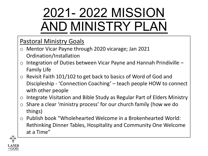## 2021- 2022 MISSION AND MINISTRY PLAN

### Pastoral Ministry Goals

- o Mentor Vicar Payne through 2020 vicarage; Jan 2021 Ordination/Installation
- $\circ$  Integration of Duties between Vicar Payne and Hannah Prindiville  $-$ Family Life
- o Revisit Faith 101/102 to get back to basics of Word of God and Discipleship - 'Connection Coaching' – teach people HOW to connect with other people
- o Integrate Visitation and Bible Study as Regular Part of Elders Ministry
- o Share a clear 'ministry process' for our church family (how we do things)
- o Publish book "Wholehearted Welcome in a Brokenhearted World: Rethinking Dinner Tables, Hospitality and Community One Welcome at a Time"

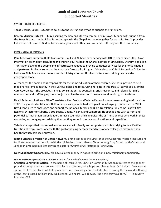#### **SYNOD – DISTRICT DIRECTED**

**Texas District, LCMS**. LOG tithes dollars to the District and Synod to support their missions.

**Korean Mission Outpost**. Church serving the Korean Lutheran community in Flower Mound with support from the Texas District. Lamb of God is hosting space in the Chapel for them to gather for worship. Rev. Yi provides ESL services at Lamb of God to Korean immigrants and other pastoral services throughout the community.

#### **INTERNATIONAL MISSIONS**

**Paul Federwitz-Lutheran Bible Translators**. Paul and Ali have been serving with LBT in Ghana since 2007. As an information technology consultant and trainer, Paul helped the Ghana Institute of Linguistics, Literacy, and Bible Translation develop the people and infrastructure needed to provide computer services for their organization and partners. Paul now serves as the Associate Director for Program Ministries and Chief Information Officer for Lutheran Bible Translators. He focuses his ministry effort on IT infrastructure and training over a wider geographic scope.

Ali manages the home and is responsible for the home education of their children. She has a passion to help missionaries remain healthy in their various fields and roles. Using her gifts in this area, Ali serves as a Member Care Coordinator. She provides training, consultation, lay counseling, crisis response, and referral for LBT's missionaries and staff helping them not just survive the stresses of cross-cultural ministry, but to thrive.

**David Federwitz Lutheran Bible Translators**. Rev. David and Valerie Federwitz have been serving in Africa since 2003. They worked in Ghana with Komba-speaking people to develop a Komba language primer series. While David continues to encourage and support the Komba Literacy and Bible Translation Project, he is now LBT's Regional Director for Liberia, Sierra Leone, Ghana, Nigeria, and Cameroon. He spends time with current and potential partner organization leaders in these countries and supervises the LBT missionaries who work in these countries, encouraging and advising them as they serve in their various locations and capacities.

Valerie manages their household, communicates with family and supporters, and is studying to be a Certified Nutrition Therapy Practitioner with the goal of helping her family and missionary colleagues maximize their health through balanced nutrition.

**Iantha Schweive-Mission of Christ Network**. Iantha serves as the Director of the Concordia Mission Institute and facilitates mission partnerships with the ministries of the Lutheran Church–Hong Kong Synod. Iantha's husband, Joel, is an ordained minister serving as pastor of Church of All Nations in Hong Kong.

**New Missionary Opportunity**. We have allotted money in hopes to bring on a new missionary opportunity.

#### **LOCAL MISSIONS** *(Descriptions of missions taken from individual websites or pamphlets)*

**Christian Community Action.** In the name of Jesus Christ, Christian Community Action ministers to the poor by providing comprehensive services that alleviate suffering, bring hope and change lives. CCA helps! "We were to spread His love, not by word, but by our lives and by a caring ministry dedicated to easing the pain and suffering of the least blessed in this world. We listened. We heard. We obeyed. And a ministry was born." – Tom Duffy, Founder, CCA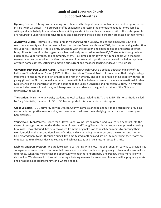#### **Lamb of God Lutheran Church Supported Ministries**

**Upbring Foster.** Upbring Foster, serving north Texas, is the largest provider of foster care and adoption services in Texas with 14 offices. The program staff is engaged in addressing the immediate need for more families willing and able to help foster infants, teens, siblings and children with special needs. All of the foster parents are required to undertake extensive training and background checks before children are placed in their homes.

**Journey to Dream.** Journey to Dream, primarily serving Denton County, equips and empowers youth to overcome adversity and live purposeful lives. Journey to Dream was born in 2004, founded on a single devotion: to support at-risk teens – those silently struggling with the isolation and chaos addiction and abuse so often bring. Since its inception, the organization has positively impacted more than 85,000 students through school assemblies, support groups, and community events – all aimed at empowering young people with the tools necessary to overcome adversity. Over the course of our work with youth, we discovered the hidden epidemic of youth homelessness, setting into motion our current and most challenging endeavor: Kyle's Place.

**University Lutheran Church-Austin.** University Lutheran Church (ULC) is a college outreach ministry of the Lutheran Church Missouri Synod (LCMS) to the University of Texas at Austin. It is our belief that today's college students are just as much broken sinners as the rest of humanity and seek to provide dying people with the lifegiving gifts of the Gospel, as well as connect them with fellow believers. We also have an International Student Ministry, which aids foreign students in adapting to the English Language and American Culture. This ministry also includes lessons in scripture, which exposes these students to the grand narrative of the Bible and, ultimately, the Gospel.

**The Station.** Ministry to university students at local colleges including NCTC and MSU. This organization is led by Gary Prindiville, member of LOG. LOG has supported this mission since its inception.

**Grace Like Rain.** GLR, primarily serving Denton County, comes alongside a family that is struggling, providing community, supportive relationships, and resources to address the underlying circumstances of poverty and homelessness.

**Young***Lives* **- Teen Parents.** More than 20 years ago, Young Life answered God's call to run headfirst into the chaos of teenage motherhood with the hope of Jesus and Young*Lives* was born. Young*Lives* primarily serving Lewisville/Flower Mound, has never wavered from the original vision to reach teen moms by entering their world, modeling the unconditional love of Christ, and encouraging them to become the women and mothers God created them to be. Through Young Life's time-tested methods and life-on-life mentoring, teen moms are empowered to make positive choices, set and achieve goals, and live a future rooted in Christ.

**Mobile Sonogram Program.** We are looking into partnering with a local mobile sonogram service to provide free sonograms as an outreach to women that have experienced an unplanned pregnancy. Ultrasound scans make a difference. When the mother has the opportunity to hear her unborn baby's heartbeat, she is more likely to choose life. We also want to look into offering a training seminar for volunteers to assist with a pregnancy crisis line or assist in a local pregnancy clinic where needed.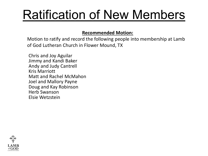## Ratification of New Members

#### **Recommended Motion:**

Motion to ratify and record the following people into membership at Lamb of God Lutheran Church in Flower Mound, TX

Chris and Joy Aguilar Jimmy and Kandi Baker Andy and Judy Cantrell Kris Marriott Matt and Rachel McMahon Joel and Mallory Payne Doug and Kay Robinson Herb Swanson Elsie Wetzstein

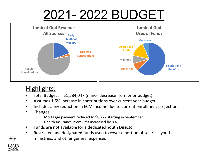## 2021- 2022 BUDGET



### Highlights:

- Total Budget : \$1,584,047 (minor decrease from prior budget)
- Assumes 1.5% increase in contributions over current year budget
- Includes a 6% reduction in ECM income due to current enrollment projections
- Changes
	- Mortgage payment reduced to \$8,272 starting in September
	- Health insurance Premiums increased by 8%
- Funds are not available for a dedicated Youth Director
- Restricted and designated funds used to cover a portion of salaries, youth ministries, and other general expenses

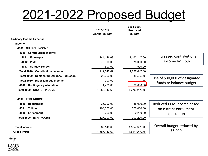### 2021-2022 Proposed Budget

|                                           | 2020-2021<br><b>Annual Budget</b> | 2021-2022<br><b>Proposed</b><br><b>Budget</b> |                               |
|-------------------------------------------|-----------------------------------|-----------------------------------------------|-------------------------------|
| <b>Ordinary Income/Expense</b>            |                                   |                                               |                               |
| <b>Income</b>                             |                                   |                                               |                               |
| 4000 - CHURCH INCOME                      |                                   |                                               |                               |
| 4010 Contributions Income                 |                                   |                                               |                               |
| 4011 · Envelopes                          | 1,144,146.69                      | 1,162,147.00                                  | Increased contributions       |
| $4012 \cdot$ Plate                        | 75,000.00                         | 75,000.00                                     | income by 1.5%                |
| 4013 · Sunday School                      | 500.00                            | 500.00                                        |                               |
| Total 4010 · Contributions Income         | 1,219,646.69                      | 1,237,647.00                                  |                               |
| Total 4020 · Designated Expense Reduction | 28,200.00                         | 8,500.00                                      | Use of \$30,000 of designated |
| Total 4030 · Miscellaneous Income         | 700.00                            | 700.00                                        |                               |
| 4040 Contingency Allocation               | 11,400.00                         | 30,000.00                                     | funds to balance budget       |
| Total 4000 · CHURCH INCOME                | 1,259,946.69                      | 1,276,847.00                                  |                               |
| 4500 · ECM INCOME                         |                                   |                                               |                               |
| 4510 · Registration                       | 35,000.00                         | 35,000.00                                     | Reduced ECM income based      |
| 4511 · Tuition                            | 290,000.00                        | 270,000.00                                    | on current enrollment         |
| 4516 · Enrichment                         | 2,200.00                          | 2,200.00                                      | expectations                  |
| Total 4500 · ECM INCOME                   | 327,200.00                        | 307,200.00                                    |                               |
| <b>Total Income</b>                       | 1,587,146.69                      | 1,584,047.00                                  | Overall budget reduced by     |
| <b>Gross Profit</b>                       | 1,587,146.69                      | 1,584,047.00                                  | \$3,099                       |
|                                           |                                   |                                               |                               |

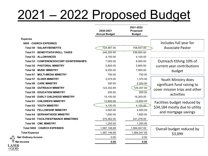## 2021 – 2022 Proposed Budget

|                                            | 2020-2021<br><b>Annual Budget</b> | 2021-2022<br><b>Proposed</b><br><b>Budget</b> |                                |
|--------------------------------------------|-----------------------------------|-----------------------------------------------|--------------------------------|
| <b>Expense</b>                             |                                   |                                               |                                |
| 5000 · CHURCH EXPENSES                     |                                   |                                               | Includes full year for         |
| Total 50 · SALARY/BENEFITS                 | 724,467.00                        | 758,837.00                                    | <b>Associate Pastor</b>        |
| Total 51 · BENEFITS/PAYROLL TAXES          | 246,200.00                        | 236,950.00                                    |                                |
| Total 52 · ALLOWANCES                      | 4,100.00                          | 4,100.00                                      |                                |
| Total 53 · CONFERENCES/CONT ED/INTERNSHIPS | 7,000.00                          | 8,500.00                                      | Outreach tithing 10% of        |
| Total 55 · PASTORAL MINISTRY               | 5,800.00                          | 5,800.00                                      | current year contributions     |
| Total 56 · MUSIC MINISTRY                  | 8.250.00                          | 7,950.00                                      | budget                         |
| Total 67 · MULTI-MEDIA MINISTRY            | 750.00                            | 750.00                                        |                                |
| Total 57 · ELDER MINISTRY                  | 2,075.00                          | 1,375.00                                      | Youth Ministry does            |
| Total 68 · CARE MINISTRY                   | 300.00                            | 2,200.00                                      | significant fund raising to    |
| Total 58 · OUTREACH MINISTRY               | 123.342.69                        | 125,357.00                                    | cover mission trips and other  |
| <b>Total 59 - EDUCATION MINISTRY</b>       | 200.00                            | 200.00                                        |                                |
| Total 60 · EARLY CHILDHOOD MINISTRY        | 15,100.00                         | 16,200.00                                     | activities                     |
| Total 61 · CHILDREN'S MINISTRY             | 13,850.00                         | 13,850.00                                     | Facilities budget reduced by   |
| Total 62 · YOUTH MINISTRY                  | 4,100.00                          | 4,100.00                                      | \$34,184 mostly due to utility |
| Total 63 · FELLOWSHIP MINISTRY             | 4,000.00                          | 4,000.00                                      |                                |
| Total 64 · SERVANTHOOD MINISTRY            | 1,650.00                          | 1,650.00                                      | and mortgage savings           |
| Total 65 · FACILITIES/FINANCE MINISTRIES   | 375,462.00                        | 341,278.00                                    |                                |
| Total 66 · CMC MINISTRY                    | 1,200.00                          | 1,200.00                                      |                                |
| Total 5000 · CHURCH EXPENSES               | 1,587,146.69                      | 1,584,047.00                                  | Overall budget reduced by      |
| <b>Total Expense</b>                       | 1,587,146.69                      | 1,584,047.00                                  | \$3,099                        |
| <b>Net Ordinary Income</b>                 | 0.00                              | 0.00                                          |                                |
| Net Income                                 | 0.00                              | 0.00                                          |                                |

**LAME** of  $GOD$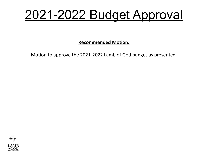### 2021-2022 Budget Approval

**Recommended Motion:** 

Motion to approve the 2021-2022 Lamb of God budget as presented.